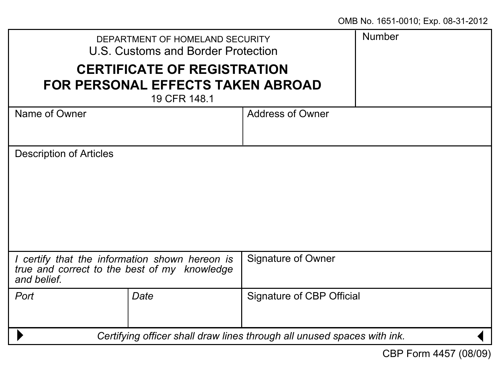| DEPARTMENT OF HOMELAND SECURITY<br>U.S. Customs and Border Protection                                         |      |                           | Number |
|---------------------------------------------------------------------------------------------------------------|------|---------------------------|--------|
| <b>CERTIFICATE OF REGISTRATION</b><br>FOR PERSONAL EFFECTS TAKEN ABROAD<br>19 CFR 148.1                       |      |                           |        |
| Name of Owner                                                                                                 |      | Address of Owner          |        |
| Description of Articles                                                                                       |      |                           |        |
|                                                                                                               |      |                           |        |
|                                                                                                               |      |                           |        |
| I certify that the information shown hereon is<br>true and correct to the best of my knowledge<br>and belief. |      | Signature of Owner        |        |
| Port                                                                                                          | Date | Signature of CBP Official |        |
| Certifying officer shall draw lines through all unused spaces with ink.                                       |      |                           |        |